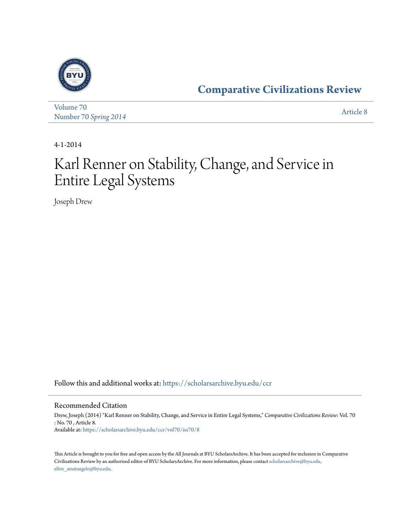

[Volume 70](https://scholarsarchive.byu.edu/ccr/vol70?utm_source=scholarsarchive.byu.edu%2Fccr%2Fvol70%2Fiss70%2F8&utm_medium=PDF&utm_campaign=PDFCoverPages) Number 70 *[Spring 2014](https://scholarsarchive.byu.edu/ccr/vol70/iss70?utm_source=scholarsarchive.byu.edu%2Fccr%2Fvol70%2Fiss70%2F8&utm_medium=PDF&utm_campaign=PDFCoverPages)* [Article 8](https://scholarsarchive.byu.edu/ccr/vol70/iss70/8?utm_source=scholarsarchive.byu.edu%2Fccr%2Fvol70%2Fiss70%2F8&utm_medium=PDF&utm_campaign=PDFCoverPages)

4-1-2014

# Karl Renner on Stability, Change, and Service in Entire Legal Systems

Joseph Drew

Follow this and additional works at: [https://scholarsarchive.byu.edu/ccr](https://scholarsarchive.byu.edu/ccr?utm_source=scholarsarchive.byu.edu%2Fccr%2Fvol70%2Fiss70%2F8&utm_medium=PDF&utm_campaign=PDFCoverPages)

#### Recommended Citation

Drew, Joseph (2014) "Karl Renner on Stability, Change, and Service in Entire Legal Systems," *Comparative Civilizations Review*: Vol. 70 : No. 70 , Article 8. Available at: [https://scholarsarchive.byu.edu/ccr/vol70/iss70/8](https://scholarsarchive.byu.edu/ccr/vol70/iss70/8?utm_source=scholarsarchive.byu.edu%2Fccr%2Fvol70%2Fiss70%2F8&utm_medium=PDF&utm_campaign=PDFCoverPages)

This Article is brought to you for free and open access by the All Journals at BYU ScholarsArchive. It has been accepted for inclusion in Comparative Civilizations Review by an authorized editor of BYU ScholarsArchive. For more information, please contact [scholarsarchive@byu.edu,](mailto:scholarsarchive@byu.edu,%20ellen_amatangelo@byu.edu) [ellen\\_amatangelo@byu.edu.](mailto:scholarsarchive@byu.edu,%20ellen_amatangelo@byu.edu)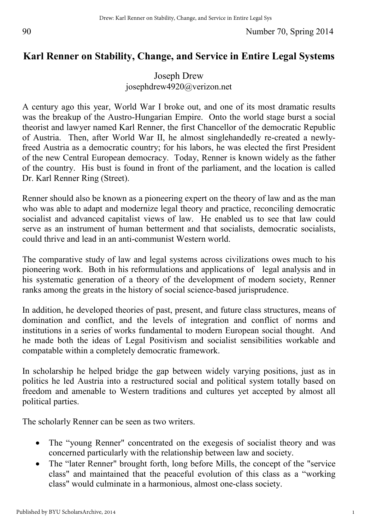# **Karl Renner on Stability, Change, and Service in Entire Legal Systems**

## Joseph Drew josephdrew4920@verizon.net

A century ago this year, World War I broke out, and one of its most dramatic results was the breakup of the Austro-Hungarian Empire. Onto the world stage burst a social theorist and lawyer named Karl Renner, the first Chancellor of the democratic Republic of Austria. Then, after World War II, he almost singlehandedly re-created a newlyfreed Austria as a democratic country; for his labors, he was elected the first President of the new Central European democracy. Today, Renner is known widely as the father of the country. His bust is found in front of the parliament, and the location is called Dr. Karl Renner Ring (Street).

Renner should also be known as a pioneering expert on the theory of law and as the man who was able to adapt and modernize legal theory and practice, reconciling democratic socialist and advanced capitalist views of law. He enabled us to see that law could serve as an instrument of human betterment and that socialists, democratic socialists, could thrive and lead in an anti-communist Western world.

The comparative study of law and legal systems across civilizations owes much to his pioneering work. Both in his reformulations and applications of legal analysis and in his systematic generation of a theory of the development of modern society, Renner ranks among the greats in the history of social science-based jurisprudence.

In addition, he developed theories of past, present, and future class structures, means of domination and conflict, and the levels of integration and conflict of norms and institutions in a series of works fundamental to modern European social thought. And he made both the ideas of Legal Positivism and socialist sensibilities workable and compatable within a completely democratic framework.

In scholarship he helped bridge the gap between widely varying positions, just as in politics he led Austria into a restructured social and political system totally based on freedom and amenable to Western traditions and cultures yet accepted by almost all political parties.

The scholarly Renner can be seen as two writers.

- The "young Renner" concentrated on the exegesis of socialist theory and was concerned particularly with the relationship between law and society.
- The "later Renner" brought forth, long before Mills, the concept of the "service" class" and maintained that the peaceful evolution of this class as a "working class" would culminate in a harmonious, almost one-class society.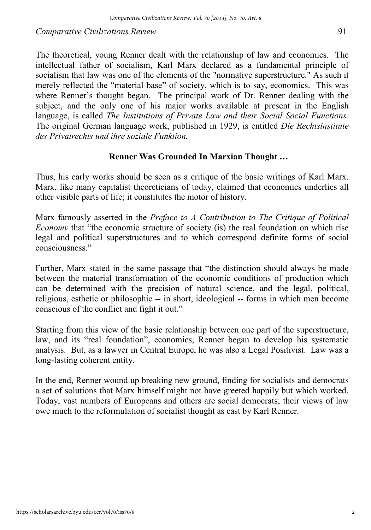The theoretical, young Renner dealt with the relationship of law and economics. The intellectual father of socialism, Karl Marx declared as a fundamental principle of socialism that law was one of the elements of the "normative superstructure." As such it merely reflected the "material base" of society, which is to say, economics. This was where Renner's thought began. The principal work of Dr. Renner dealing with the subject, and the only one of his major works available at present in the English language, is called *The Institutions of Private Law and their Social Social Functions.* The original German language work, published in 1929, is entitled *Die Rechtsinstitute des Privatrechts und ihre soziale Funktion.* 

#### **Renner Was Grounded In Marxian Thought …**

Thus, his early works should be seen as a critique of the basic writings of Karl Marx. Marx, like many capitalist theoreticians of today, claimed that economics underlies all other visible parts of life; it constitutes the motor of history.

Marx famously asserted in the *Preface to A Contribution to The Critique of Political Economy* that "the economic structure of society (is) the real foundation on which rise legal and political superstructures and to which correspond definite forms of social consciousness."

Further, Marx stated in the same passage that "the distinction should always be made between the material transformation of the economic conditions of production which can be determined with the precision of natural science, and the legal, political, religious, esthetic or philosophic -- in short, ideological -- forms in which men become conscious of the conflict and fight it out."

Starting from this view of the basic relationship between one part of the superstructure, law, and its "real foundation", economics, Renner began to develop his systematic analysis. But, as a lawyer in Central Europe, he was also a Legal Positivist. Law was a long-lasting coherent entity.

In the end, Renner wound up breaking new ground, finding for socialists and democrats a set of solutions that Marx himself might not have greeted happily but which worked. Today, vast numbers of Europeans and others are social democrats; their views of law owe much to the reformulation of socialist thought as cast by Karl Renner.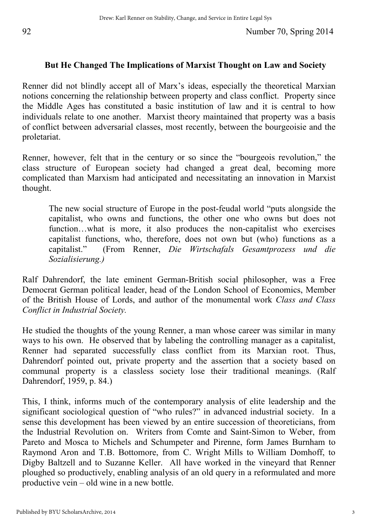#### **But He Changed The Implications of Marxist Thought on Law and Society**

Renner did not blindly accept all of Marx's ideas, especially the theoretical Marxian notions concerning the relationship between property and class conflict. Property since the Middle Ages has constituted a basic institution of law and it is central to how individuals relate to one another. Marxist theory maintained that property was a basis of conflict between adversarial classes, most recently, between the bourgeoisie and the proletariat.

Renner, however, felt that in the century or so since the "bourgeois revolution," the class structure of European society had changed a great deal, becoming more complicated than Marxism had anticipated and necessitating an innovation in Marxist thought.

The new social structure of Europe in the post-feudal world "puts alongside the capitalist, who owns and functions, the other one who owns but does not function…what is more, it also produces the non-capitalist who exercises capitalist functions, who, therefore, does not own but (who) functions as a capitalist." (From Renner, *Die Wirtschafals Gesamtprozess und die Sozialisierung.)*

Ralf Dahrendorf, the late eminent German-British social philosopher, was a Free Democrat German political leader, head of the London School of Economics, Member of the British House of Lords, and author of the monumental work *Class and Class Conflict in Industrial Society.* 

He studied the thoughts of the young Renner, a man whose career was similar in many ways to his own. He observed that by labeling the controlling manager as a capitalist, Renner had separated successfully class conflict from its Marxian root. Thus, Dahrendorf pointed out, private property and the assertion that a society based on communal property is a classless society lose their traditional meanings. (Ralf Dahrendorf, 1959, p. 84.)

This, I think, informs much of the contemporary analysis of elite leadership and the significant sociological question of "who rules?" in advanced industrial society. In a sense this development has been viewed by an entire succession of theoreticians, from the Industrial Revolution on. Writers from Comte and Saint-Simon to Weber, from Pareto and Mosca to Michels and Schumpeter and Pirenne, form James Burnham to Raymond Aron and T.B. Bottomore, from C. Wright Mills to William Domhoff, to Digby Baltzell and to Suzanne Keller. All have worked in the vineyard that Renner ploughed so productively, enabling analysis of an old query in a reformulated and more productive vein – old wine in a new bottle.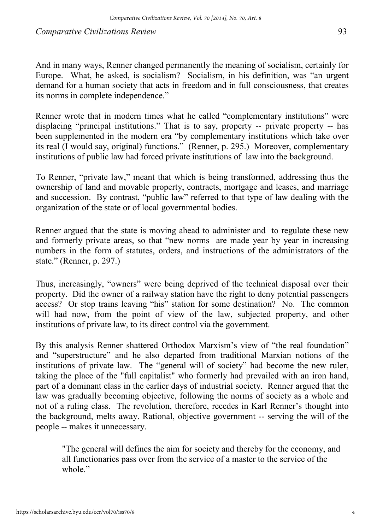Renner wrote that in modern times what he called "complementary institutions" were displacing "principal institutions." That is to say, property -- private property -- has been supplemented in the modern era "by complementary institutions which take over its real (I would say, original) functions." (Renner, p. 295.) Moreover, complementary institutions of public law had forced private institutions of law into the background.

To Renner, "private law," meant that which is being transformed, addressing thus the ownership of land and movable property, contracts, mortgage and leases, and marriage and succession. By contrast, "public law" referred to that type of law dealing with the organization of the state or of local governmental bodies.

Renner argued that the state is moving ahead to administer and to regulate these new and formerly private areas, so that "new norms are made year by year in increasing numbers in the form of statutes, orders, and instructions of the administrators of the state." (Renner, p. 297.)

Thus, increasingly, "owners" were being deprived of the technical disposal over their property. Did the owner of a railway station have the right to deny potential passengers access? Or stop trains leaving "his" station for some destination? No. The common will had now, from the point of view of the law, subjected property, and other institutions of private law, to its direct control via the government.

By this analysis Renner shattered Orthodox Marxism's view of "the real foundation" and "superstructure" and he also departed from traditional Marxian notions of the institutions of private law. The "general will of society" had become the new ruler, taking the place of the "full capitalist" who formerly had prevailed with an iron hand, part of a dominant class in the earlier days of industrial society. Renner argued that the law was gradually becoming objective, following the norms of society as a whole and not of a ruling class. The revolution, therefore, recedes in Karl Renner's thought into the background, melts away. Rational, objective government -- serving the will of the people -- makes it unnecessary.

"The general will defines the aim for society and thereby for the economy, and all functionaries pass over from the service of a master to the service of the whole."

4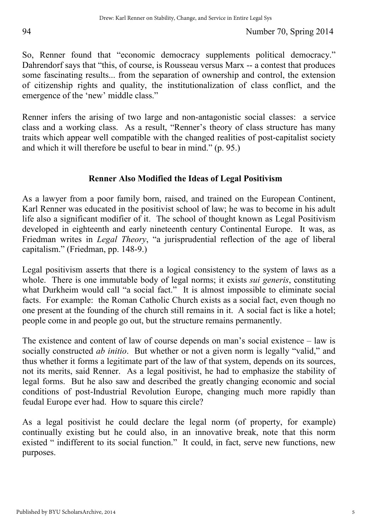So, Renner found that "economic democracy supplements political democracy." Dahrendorf says that "this, of course, is Rousseau versus Marx -- a contest that produces some fascinating results... from the separation of ownership and control, the extension of citizenship rights and quality, the institutionalization of class conflict, and the emergence of the 'new' middle class."

Renner infers the arising of two large and non-antagonistic social classes: a service class and a working class. As a result, "Renner's theory of class structure has many traits which appear well compatible with the changed realities of post-capitalist society and which it will therefore be useful to bear in mind." (p. 95.)

### **Renner Also Modified the Ideas of Legal Positivism**

As a lawyer from a poor family born, raised, and trained on the European Continent, Karl Renner was educated in the positivist school of law; he was to become in his adult life also a significant modifier of it. The school of thought known as Legal Positivism developed in eighteenth and early nineteenth century Continental Europe. It was, as Friedman writes in *Legal Theory*, "a jurisprudential reflection of the age of liberal capitalism." (Friedman, pp. 148-9.)

Legal positivism asserts that there is a logical consistency to the system of laws as a whole. There is one immutable body of legal norms; it exists *sui generis*, constituting what Durkheim would call "a social fact." It is almost impossible to eliminate social facts. For example: the Roman Catholic Church exists as a social fact, even though no one present at the founding of the church still remains in it. A social fact is like a hotel; people come in and people go out, but the structure remains permanently.

The existence and content of law of course depends on man's social existence – law is socially constructed *ab initio*. But whether or not a given norm is legally "valid," and thus whether it forms a legitimate part of the law of that system, depends on its sources, not its merits, said Renner. As a legal positivist, he had to emphasize the stability of legal forms. But he also saw and described the greatly changing economic and social conditions of post-Industrial Revolution Europe, changing much more rapidly than feudal Europe ever had. How to square this circle?

As a legal positivist he could declare the legal norm (of property, for example) continually existing but he could also, in an innovative break, note that this norm existed " indifferent to its social function." It could, in fact, serve new functions, new purposes.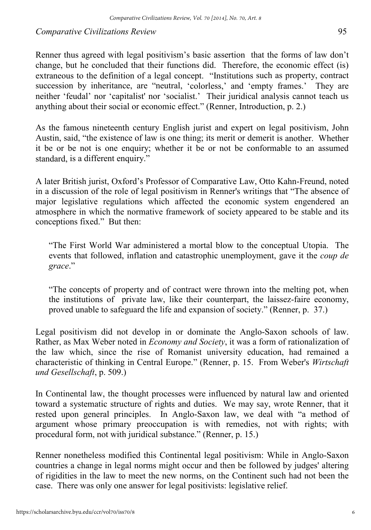Renner thus agreed with legal positivism's basic assertion that the forms of law don't change, but he concluded that their functions did. Therefore, the economic effect (is) extraneous to the definition of a legal concept. "Institutions such as property, contract succession by inheritance, are "neutral, 'colorless,' and 'empty frames.' They are neither 'feudal' nor 'capitalist' nor 'socialist.' Their juridical analysis cannot teach us anything about their social or economic effect." (Renner, Introduction, p. 2.)

As the famous nineteenth century English jurist and expert on legal positivism, John Austin, said, "the existence of law is one thing; its merit or demerit is another. Whether it be or be not is one enquiry; whether it be or not be conformable to an assumed standard, is a different enquiry."

A later British jurist, Oxford's Professor of Comparative Law, Otto Kahn-Freund, noted in a discussion of the role of legal positivism in Renner's writings that "The absence of major legislative regulations which affected the economic system engendered an atmosphere in which the normative framework of society appeared to be stable and its conceptions fixed." But then:

"The First World War administered a mortal blow to the conceptual Utopia. The events that followed, inflation and catastrophic unemployment, gave it the *coup de grace*."

"The concepts of property and of contract were thrown into the melting pot, when the institutions of private law, like their counterpart, the laissez-faire economy, proved unable to safeguard the life and expansion of society." (Renner, p. 37.)

Legal positivism did not develop in or dominate the Anglo-Saxon schools of law. Rather, as Max Weber noted in *Economy and Society*, it was a form of rationalization of the law which, since the rise of Romanist university education, had remained a characteristic of thinking in Central Europe." (Renner, p. 15. From Weber's *Wirtschaft und Gesellschaft*, p. 509.)

In Continental law, the thought processes were influenced by natural law and oriented toward a systematic structure of rights and duties. We may say, wrote Renner, that it rested upon general principles. In Anglo-Saxon law, we deal with "a method of argument whose primary preoccupation is with remedies, not with rights; with procedural form, not with juridical substance." (Renner, p. 15.)

Renner nonetheless modified this Continental legal positivism: While in Anglo-Saxon countries a change in legal norms might occur and then be followed by judges' altering of rigidities in the law to meet the new norms, on the Continent such had not been the case. There was only one answer for legal positivists: legislative relief.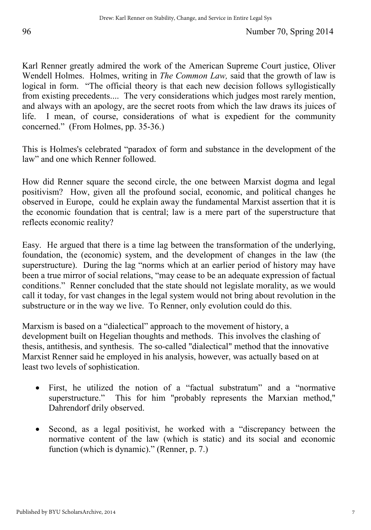Karl Renner greatly admired the work of the American Supreme Court justice, Oliver Wendell Holmes. Holmes, writing in *The Common Law,* said that the growth of law is logical in form. "The official theory is that each new decision follows syllogistically from existing precedents.... The very considerations which judges most rarely mention, and always with an apology, are the secret roots from which the law draws its juices of life. I mean, of course, considerations of what is expedient for the community concerned." (From Holmes, pp. 35-36.)

This is Holmes's celebrated "paradox of form and substance in the development of the law" and one which Renner followed.

How did Renner square the second circle, the one between Marxist dogma and legal positivism? How, given all the profound social, economic, and political changes he observed in Europe, could he explain away the fundamental Marxist assertion that it is the economic foundation that is central; law is a mere part of the superstructure that reflects economic reality?

Easy. He argued that there is a time lag between the transformation of the underlying, foundation, the (economic) system, and the development of changes in the law (the superstructure). During the lag "norms which at an earlier period of history may have been a true mirror of social relations, "may cease to be an adequate expression of factual conditions." Renner concluded that the state should not legislate morality, as we would call it today, for vast changes in the legal system would not bring about revolution in the substructure or in the way we live. To Renner, only evolution could do this.

Marxism is based on a "dialectical" approach to the movement of history, a development built on Hegelian thoughts and methods. This involves the clashing of thesis, antithesis, and synthesis. The so-called "dialectical" method that the innovative Marxist Renner said he employed in his analysis, however, was actually based on at least two levels of sophistication.

- First, he utilized the notion of a "factual substratum" and a "normative superstructure." This for him "probably represents the Marxian method," Dahrendorf drily observed.
- Second, as a legal positivist, he worked with a "discrepancy between the normative content of the law (which is static) and its social and economic function (which is dynamic)." (Renner, p. 7.)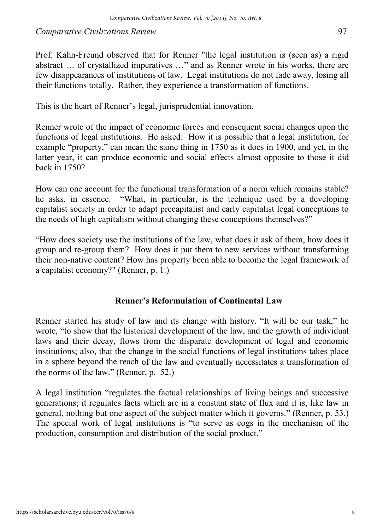Prof. Kahn-Freund observed that for Renner "the legal institution is (seen as) a rigid abstract … of crystallized imperatives …" and as Renner wrote in his works, there are few disappearances of institutions of law. Legal institutions do not fade away, losing all their functions totally. Rather, they experience a transformation of functions.

This is the heart of Renner's legal, jurisprudential innovation.

Renner wrote of the impact of economic forces and consequent social changes upon the functions of legal institutions. He asked: How it is possible that a legal institution, for example "property," can mean the same thing in 1750 as it does in 1900, and yet, in the latter year, it can produce economic and social effects almost opposite to those it did back in 1750?

How can one account for the functional transformation of a norm which remains stable? he asks, in essence. "What, in particular, is the technique used by a developing capitalist society in order to adapt precapitalist and early capitalist legal conceptions to the needs of high capitalism without changing these conceptions themselves?"

"How does society use the institutions of the law, what does it ask of them, how does it group and re-group them? How does it put them to new services without transforming their non-native content? How has property been able to become the legal framework of a capitalist economy?" (Renner, p. 1.)

#### **Renner's Reformulation of Continental Law**

Renner started his study of law and its change with history. "It will be our task," he wrote, "to show that the historical development of the law, and the growth of individual laws and their decay, flows from the disparate development of legal and economic institutions; also, that the change in the social functions of legal institutions takes place in a sphere beyond the reach of the law and eventually necessitates a transformation of the norms of the law." (Renner, p. 52.)

A legal institution "regulates the factual relationships of living beings and successive generations; it regulates facts which are in a constant state of flux and it is, like law in general, nothing but one aspect of the subject matter which it governs." (Renner, p. 53.) The special work of legal institutions is "to serve as cogs in the mechanism of the production, consumption and distribution of the social product."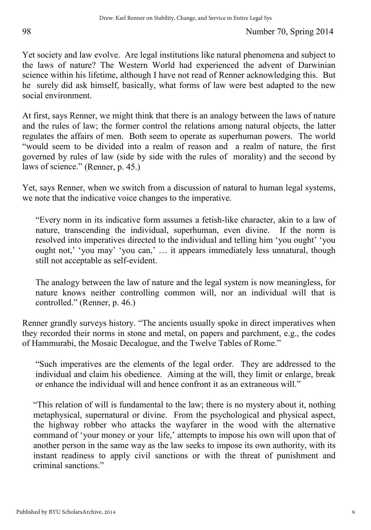Yet society and law evolve. Are legal institutions like natural phenomena and subject to the laws of nature? The Western World had experienced the advent of Darwinian science within his lifetime, although I have not read of Renner acknowledging this. But he surely did ask himself, basically, what forms of law were best adapted to the new social environment.

At first, says Renner, we might think that there is an analogy between the laws of nature and the rules of law; the former control the relations among natural objects, the latter regulates the affairs of men. Both seem to operate as superhuman powers. The world "would seem to be divided into a realm of reason and a realm of nature, the first governed by rules of law (side by side with the rules of morality) and the second by laws of science." (Renner, p. 45.)

Yet, says Renner, when we switch from a discussion of natural to human legal systems, we note that the indicative voice changes to the imperative.

"Every norm in its indicative form assumes a fetish-like character, akin to a law of nature, transcending the individual, superhuman, even divine. If the norm is resolved into imperatives directed to the individual and telling him 'you ought' 'you ought not,' 'you may' 'you can,' … it appears immediately less unnatural, though still not acceptable as self-evident.

The analogy between the law of nature and the legal system is now meaningless, for nature knows neither controlling common will, nor an individual will that is controlled." (Renner, p. 46.)

Renner grandly surveys history. "The ancients usually spoke in direct imperatives when they recorded their norms in stone and metal, on papers and parchment, e.g., the codes of Hammurabi, the Mosaic Decalogue, and the Twelve Tables of Rome."

"Such imperatives are the elements of the legal order. They are addressed to the individual and claim his obedience. Aiming at the will, they limit or enlarge, break or enhance the individual will and hence confront it as an extraneous will."

"This relation of will is fundamental to the law; there is no mystery about it, nothing metaphysical, supernatural or divine. From the psychological and physical aspect, the highway robber who attacks the wayfarer in the wood with the alternative command of 'your money or your life,' attempts to impose his own will upon that of another person in the same way as the law seeks to impose its own authority, with its instant readiness to apply civil sanctions or with the threat of punishment and criminal sanctions."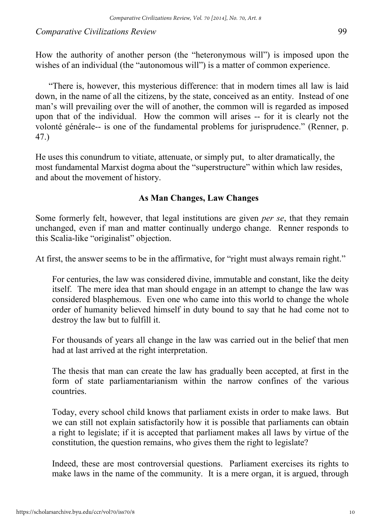How the authority of another person (the "heteronymous will") is imposed upon the wishes of an individual (the "autonomous will") is a matter of common experience.

"There is, however, this mysterious difference: that in modern times all law is laid down, in the name of all the citizens, by the state, conceived as an entity. Instead of one man's will prevailing over the will of another, the common will is regarded as imposed upon that of the individual. How the common will arises -- for it is clearly not the volonté générale-- is one of the fundamental problems for jurisprudence." (Renner, p. 47.)

He uses this conundrum to vitiate, attenuate, or simply put, to alter dramatically, the most fundamental Marxist dogma about the "superstructure" within which law resides, and about the movement of history.

#### **As Man Changes, Law Changes**

Some formerly felt, however, that legal institutions are given *per se*, that they remain unchanged, even if man and matter continually undergo change. Renner responds to this Scalia-like "originalist" objection.

At first, the answer seems to be in the affirmative, for "right must always remain right."

For centuries, the law was considered divine, immutable and constant, like the deity itself. The mere idea that man should engage in an attempt to change the law was considered blasphemous. Even one who came into this world to change the whole order of humanity believed himself in duty bound to say that he had come not to destroy the law but to fulfill it.

For thousands of years all change in the law was carried out in the belief that men had at last arrived at the right interpretation.

The thesis that man can create the law has gradually been accepted, at first in the form of state parliamentarianism within the narrow confines of the various countries.

Today, every school child knows that parliament exists in order to make laws. But we can still not explain satisfactorily how it is possible that parliaments can obtain a right to legislate; if it is accepted that parliament makes all laws by virtue of the constitution, the question remains, who gives them the right to legislate?

Indeed, these are most controversial questions. Parliament exercises its rights to make laws in the name of the community. It is a mere organ, it is argued, through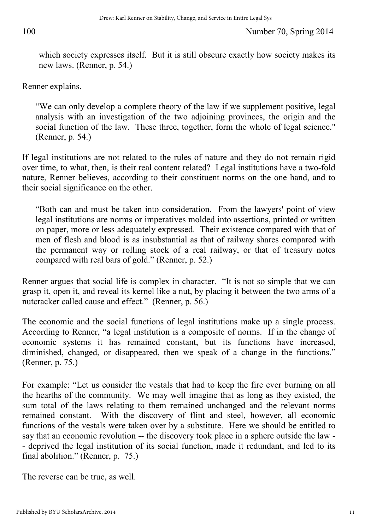which society expresses itself. But it is still obscure exactly how society makes its new laws. (Renner, p. 54.)

Renner explains.

"We can only develop a complete theory of the law if we supplement positive, legal analysis with an investigation of the two adjoining provinces, the origin and the social function of the law. These three, together, form the whole of legal science." (Renner, p. 54.)

If legal institutions are not related to the rules of nature and they do not remain rigid over time, to what, then, is their real content related? Legal institutions have a two-fold nature, Renner believes, according to their constituent norms on the one hand, and to their social significance on the other.

"Both can and must be taken into consideration. From the lawyers' point of view legal institutions are norms or imperatives molded into assertions, printed or written on paper, more or less adequately expressed. Their existence compared with that of men of flesh and blood is as insubstantial as that of railway shares compared with the permanent way or rolling stock of a real railway, or that of treasury notes compared with real bars of gold." (Renner, p. 52.)

Renner argues that social life is complex in character. "It is not so simple that we can grasp it, open it, and reveal its kernel like a nut, by placing it between the two arms of a nutcracker called cause and effect." (Renner, p. 56.)

The economic and the social functions of legal institutions make up a single process. According to Renner, "a legal institution is a composite of norms. If in the change of economic systems it has remained constant, but its functions have increased, diminished, changed, or disappeared, then we speak of a change in the functions." (Renner, p. 75.)

For example: "Let us consider the vestals that had to keep the fire ever burning on all the hearths of the community. We may well imagine that as long as they existed, the sum total of the laws relating to them remained unchanged and the relevant norms remained constant. With the discovery of flint and steel, however, all economic functions of the vestals were taken over by a substitute. Here we should be entitled to say that an economic revolution -- the discovery took place in a sphere outside the law - - deprived the legal institution of its social function, made it redundant, and led to its final abolition." (Renner, p. 75.)

The reverse can be true, as well.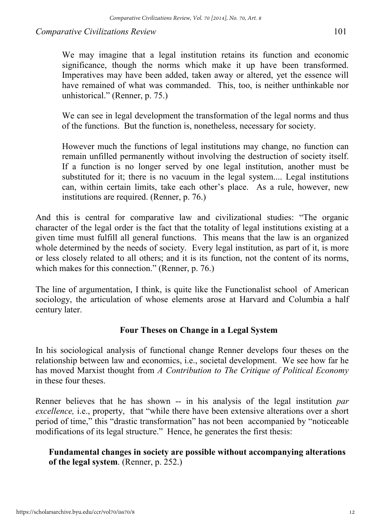We may imagine that a legal institution retains its function and economic significance, though the norms which make it up have been transformed. Imperatives may have been added, taken away or altered, yet the essence will have remained of what was commanded. This, too, is neither unthinkable nor unhistorical." (Renner, p. 75.)

We can see in legal development the transformation of the legal norms and thus of the functions. But the function is, nonetheless, necessary for society.

However much the functions of legal institutions may change, no function can remain unfilled permanently without involving the destruction of society itself. If a function is no longer served by one legal institution, another must be substituted for it; there is no vacuum in the legal system.... Legal institutions can, within certain limits, take each other's place. As a rule, however, new institutions are required. (Renner, p. 76.)

And this is central for comparative law and civilizational studies: "The organic character of the legal order is the fact that the totality of legal institutions existing at a given time must fulfill all general functions. This means that the law is an organized whole determined by the needs of society. Every legal institution, as part of it, is more or less closely related to all others; and it is its function, not the content of its norms, which makes for this connection." (Renner, p. 76.)

The line of argumentation, I think, is quite like the Functionalist school of American sociology, the articulation of whose elements arose at Harvard and Columbia a half century later.

### **Four Theses on Change in a Legal System**

In his sociological analysis of functional change Renner develops four theses on the relationship between law and economics, i.e., societal development. We see how far he has moved Marxist thought from *A Contribution to The Critique of Political Economy*  in these four theses.

Renner believes that he has shown -- in his analysis of the legal institution *par excellence*, *i.e.*, property, that "while there have been extensive alterations over a short period of time," this "drastic transformation" has not been accompanied by "noticeable modifications of its legal structure." Hence, he generates the first thesis:

### **Fundamental changes in society are possible without accompanying alterations of the legal system**. (Renner, p. 252.)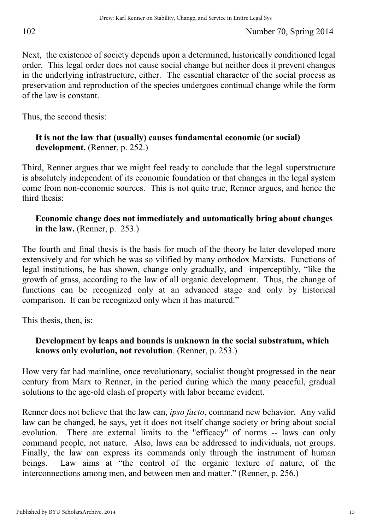Next, the existence of society depends upon a determined, historically conditioned legal order. This legal order does not cause social change but neither does it prevent changes in the underlying infrastructure, either. The essential character of the social process as preservation and reproduction of the species undergoes continual change while the form of the law is constant.

Thus, the second thesis:

#### **It is not the law that (usually) causes fundamental economic (or social) development.** (Renner, p. 252.)

Third, Renner argues that we might feel ready to conclude that the legal superstructure is absolutely independent of its economic foundation or that changes in the legal system come from non-economic sources. This is not quite true, Renner argues, and hence the third thesis:

#### **Economic change does not immediately and automatically bring about changes in the law.** (Renner, p. 253.)

The fourth and final thesis is the basis for much of the theory he later developed more extensively and for which he was so vilified by many orthodox Marxists. Functions of legal institutions, he has shown, change only gradually, and imperceptibly, "like the growth of grass, according to the law of all organic development. Thus, the change of functions can be recognized only at an advanced stage and only by historical comparison. It can be recognized only when it has matured."

This thesis, then, is:

### **Development by leaps and bounds is unknown in the social substratum, which knows only evolution, not revolution**. (Renner, p. 253.)

How very far had mainline, once revolutionary, socialist thought progressed in the near century from Marx to Renner, in the period during which the many peaceful, gradual solutions to the age-old clash of property with labor became evident.

Renner does not believe that the law can, *ipso facto*, command new behavior. Any valid law can be changed, he says, yet it does not itself change society or bring about social evolution. There are external limits to the "efficacy" of norms -- laws can only command people, not nature. Also, laws can be addressed to individuals, not groups. Finally, the law can express its commands only through the instrument of human beings. Law aims at "the control of the organic texture of nature, of the interconnections among men, and between men and matter." (Renner, p. 256.)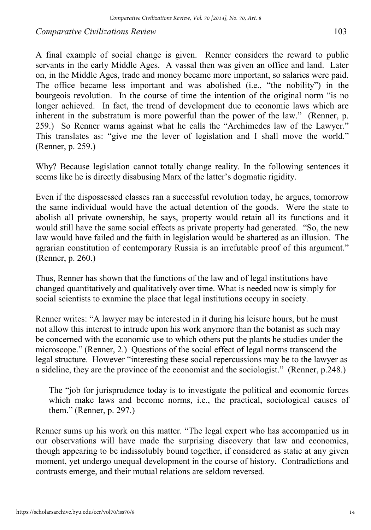A final example of social change is given. Renner considers the reward to public servants in the early Middle Ages. A vassal then was given an office and land. Later on, in the Middle Ages, trade and money became more important, so salaries were paid. The office became less important and was abolished (i.e., "the nobility") in the bourgeois revolution. In the course of time the intention of the original norm "is no longer achieved. In fact, the trend of development due to economic laws which are inherent in the substratum is more powerful than the power of the law." (Renner, p. 259.) So Renner warns against what he calls the "Archimedes law of the Lawyer." This translates as: "give me the lever of legislation and I shall move the world." (Renner, p. 259.)

Why? Because legislation cannot totally change reality. In the following sentences it seems like he is directly disabusing Marx of the latter's dogmatic rigidity.

Even if the dispossessed classes ran a successful revolution today, he argues, tomorrow the same individual would have the actual detention of the goods. Were the state to abolish all private ownership, he says, property would retain all its functions and it would still have the same social effects as private property had generated. "So, the new law would have failed and the faith in legislation would be shattered as an illusion. The agrarian constitution of contemporary Russia is an irrefutable proof of this argument." (Renner, p. 260.)

Thus, Renner has shown that the functions of the law and of legal institutions have changed quantitatively and qualitatively over time. What is needed now is simply for social scientists to examine the place that legal institutions occupy in society.

Renner writes: "A lawyer may be interested in it during his leisure hours, but he must not allow this interest to intrude upon his work anymore than the botanist as such may be concerned with the economic use to which others put the plants he studies under the microscope." (Renner, 2.) Questions of the social effect of legal norms transcend the legal structure. However "interesting these social repercussions may be to the lawyer as a sideline, they are the province of the economist and the sociologist." (Renner, p.248.)

The "job for jurisprudence today is to investigate the political and economic forces which make laws and become norms, i.e., the practical, sociological causes of them." (Renner, p. 297.)

Renner sums up his work on this matter. "The legal expert who has accompanied us in our observations will have made the surprising discovery that law and economics, though appearing to be indissolubly bound together, if considered as static at any given moment, yet undergo unequal development in the course of history. Contradictions and contrasts emerge, and their mutual relations are seldom reversed.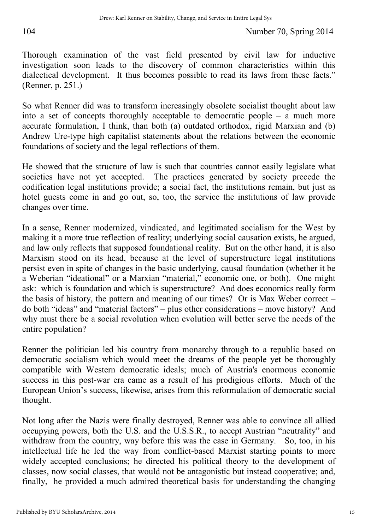Thorough examination of the vast field presented by civil law for inductive investigation soon leads to the discovery of common characteristics within this dialectical development. It thus becomes possible to read its laws from these facts." (Renner, p. 251.)

So what Renner did was to transform increasingly obsolete socialist thought about law into a set of concepts thoroughly acceptable to democratic people – a much more accurate formulation, I think, than both (a) outdated orthodox, rigid Marxian and (b) Andrew Ure-type high capitalist statements about the relations between the economic foundations of society and the legal reflections of them.

He showed that the structure of law is such that countries cannot easily legislate what societies have not yet accepted. The practices generated by society precede the codification legal institutions provide; a social fact, the institutions remain, but just as hotel guests come in and go out, so, too, the service the institutions of law provide changes over time.

In a sense, Renner modernized, vindicated, and legitimated socialism for the West by making it a more true reflection of reality; underlying social causation exists, he argued, and law only reflects that supposed foundational reality. But on the other hand, it is also Marxism stood on its head, because at the level of superstructure legal institutions persist even in spite of changes in the basic underlying, causal foundation (whether it be a Weberian "ideational" or a Marxian "material," economic one, or both). One might ask: which is foundation and which is superstructure? And does economics really form the basis of history, the pattern and meaning of our times? Or is Max Weber correct – do both "ideas" and "material factors" – plus other considerations – move history? And why must there be a social revolution when evolution will better serve the needs of the entire population?

Renner the politician led his country from monarchy through to a republic based on democratic socialism which would meet the dreams of the people yet be thoroughly compatible with Western democratic ideals; much of Austria's enormous economic success in this post-war era came as a result of his prodigious efforts. Much of the European Union's success, likewise, arises from this reformulation of democratic social thought.

Not long after the Nazis were finally destroyed, Renner was able to convince all allied occupying powers, both the U.S. and the U.S.S.R., to accept Austrian "neutrality" and withdraw from the country, way before this was the case in Germany. So, too, in his intellectual life he led the way from conflict-based Marxist starting points to more widely accepted conclusions; he directed his political theory to the development of classes, now social classes, that would not be antagonistic but instead cooperative; and, finally, he provided a much admired theoretical basis for understanding the changing